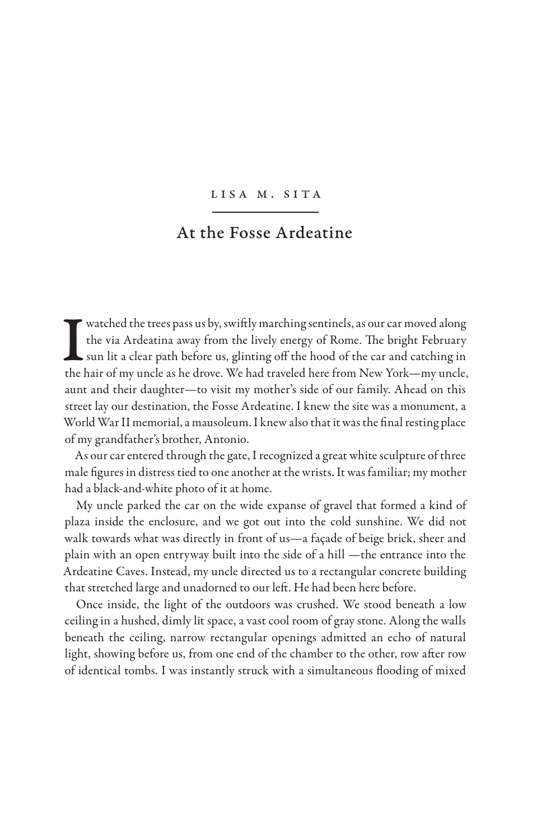## Lisa M. Sita

## At the Fosse Ardeatine

I watched the trees pass us by, swiftly marching sentinels, as our car moved along<br>the via Ardeatina away from the lively energy of Rome. The bright February<br>sun lit a clear path before us, glinting off the hood of the car the via Ardeatina away from the lively energy of Rome. The bright February sun lit a clear path before us, glinting off the hood of the car and catching in the hair of my uncle as he drove. We had traveled here from New York—my uncle, aunt and their daughter—to visit my mother's side of our family. Ahead on this street lay our destination, the Fosse Ardeatine. I knew the site was a monument, a World War II memorial, a mausoleum. I knew also that it was the final resting place of my grandfather's brother, Antonio.

As our car entered through the gate, I recognized a great white sculpture of three male figures in distress tied to one another at the wrists. It was familiar; my mother had a black-and-white photo of it at home.

My uncle parked the car on the wide expanse of gravel that formed a kind of plaza inside the enclosure, and we got out into the cold sunshine. We did not walk towards what was directly in front of us—a façade of beige brick, sheer and plain with an open entryway built into the side of a hill —the entrance into the Ardeatine Caves. Instead, my uncle directed us to a rectangular concrete building that stretched large and unadorned to our left. He had been here before.

Once inside, the light of the outdoors was crushed. We stood beneath a low ceiling in a hushed, dimly lit space, a vast cool room of gray stone. Along the walls beneath the ceiling, narrow rectangular openings admitted an echo of natural light, showing before us, from one end of the chamber to the other, row after row of identical tombs. I was instantly struck with a simultaneous flooding of mixed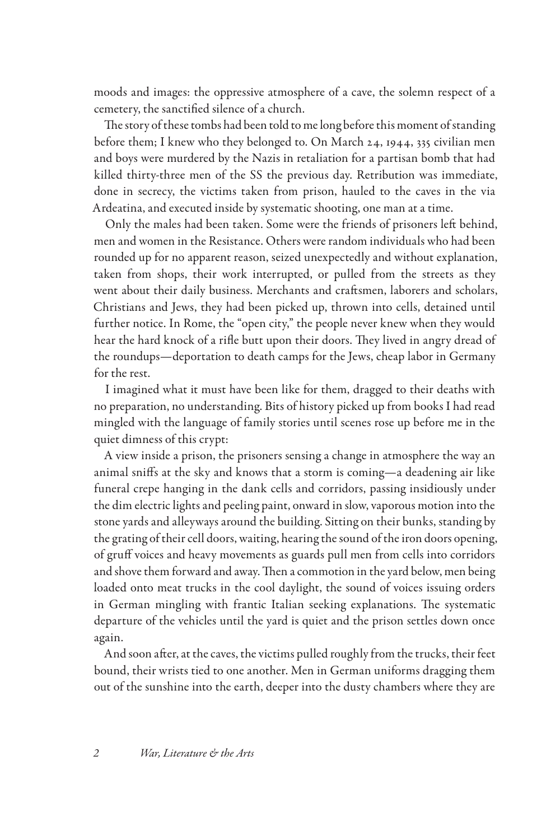moods and images: the oppressive atmosphere of a cave, the solemn respect of a cemetery, the sanctified silence of a church.

The story of these tombs had been told to me long before this moment of standing before them; I knew who they belonged to. On March 24, 1944, 335 civilian men and boys were murdered by the Nazis in retaliation for a partisan bomb that had killed thirty-three men of the SS the previous day. Retribution was immediate, done in secrecy, the victims taken from prison, hauled to the caves in the via Ardeatina, and executed inside by systematic shooting, one man at a time.

Only the males had been taken. Some were the friends of prisoners left behind, men and women in the Resistance. Others were random individuals who had been rounded up for no apparent reason, seized unexpectedly and without explanation, taken from shops, their work interrupted, or pulled from the streets as they went about their daily business. Merchants and craftsmen, laborers and scholars, Christians and Jews, they had been picked up, thrown into cells, detained until further notice. In Rome, the "open city," the people never knew when they would hear the hard knock of a rifle butt upon their doors. They lived in angry dread of the roundups—deportation to death camps for the Jews, cheap labor in Germany for the rest.

I imagined what it must have been like for them, dragged to their deaths with no preparation, no understanding. Bits of history picked up from books I had read mingled with the language of family stories until scenes rose up before me in the quiet dimness of this crypt:

A view inside a prison, the prisoners sensing a change in atmosphere the way an animal sniffs at the sky and knows that a storm is coming—a deadening air like funeral crepe hanging in the dank cells and corridors, passing insidiously under the dim electric lights and peeling paint, onward in slow, vaporous motion into the stone yards and alleyways around the building. Sitting on their bunks, standing by the grating of their cell doors, waiting, hearing the sound of the iron doors opening, of gruff voices and heavy movements as guards pull men from cells into corridors and shove them forward and away. Then a commotion in the yard below, men being loaded onto meat trucks in the cool daylight, the sound of voices issuing orders in German mingling with frantic Italian seeking explanations. The systematic departure of the vehicles until the yard is quiet and the prison settles down once again.

And soon after, at the caves, the victims pulled roughly from the trucks, their feet bound, their wrists tied to one another. Men in German uniforms dragging them out of the sunshine into the earth, deeper into the dusty chambers where they are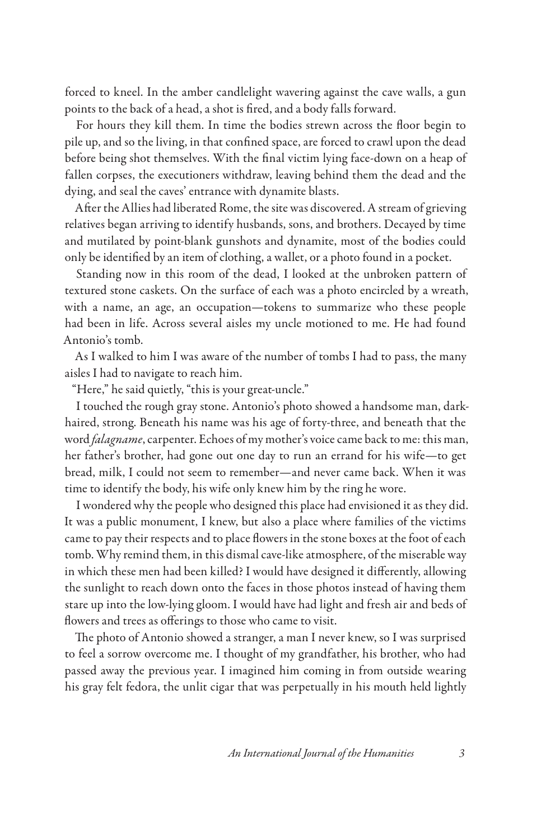forced to kneel. In the amber candlelight wavering against the cave walls, a gun points to the back of a head, a shot is fired, and a body falls forward.

For hours they kill them. In time the bodies strewn across the floor begin to pile up, and so the living, in that confined space, are forced to crawl upon the dead before being shot themselves. With the final victim lying face-down on a heap of fallen corpses, the executioners withdraw, leaving behind them the dead and the dying, and seal the caves' entrance with dynamite blasts.

After the Allies had liberated Rome, the site was discovered. A stream of grieving relatives began arriving to identify husbands, sons, and brothers. Decayed by time and mutilated by point-blank gunshots and dynamite, most of the bodies could only be identified by an item of clothing, a wallet, or a photo found in a pocket.

Standing now in this room of the dead, I looked at the unbroken pattern of textured stone caskets. On the surface of each was a photo encircled by a wreath, with a name, an age, an occupation—tokens to summarize who these people had been in life. Across several aisles my uncle motioned to me. He had found Antonio's tomb.

As I walked to him I was aware of the number of tombs I had to pass, the many aisles I had to navigate to reach him.

"Here," he said quietly, "this is your great-uncle."

I touched the rough gray stone. Antonio's photo showed a handsome man, darkhaired, strong. Beneath his name was his age of forty-three, and beneath that the word *falagname*, carpenter. Echoes of my mother's voice came back to me: this man, her father's brother, had gone out one day to run an errand for his wife—to get bread, milk, I could not seem to remember—and never came back. When it was time to identify the body, his wife only knew him by the ring he wore.

I wondered why the people who designed this place had envisioned it as they did. It was a public monument, I knew, but also a place where families of the victims came to pay their respects and to place flowers in the stone boxes at the foot of each tomb. Why remind them, in this dismal cave-like atmosphere, of the miserable way in which these men had been killed? I would have designed it differently, allowing the sunlight to reach down onto the faces in those photos instead of having them stare up into the low-lying gloom. I would have had light and fresh air and beds of flowers and trees as offerings to those who came to visit.

The photo of Antonio showed a stranger, a man I never knew, so I was surprised to feel a sorrow overcome me. I thought of my grandfather, his brother, who had passed away the previous year. I imagined him coming in from outside wearing his gray felt fedora, the unlit cigar that was perpetually in his mouth held lightly